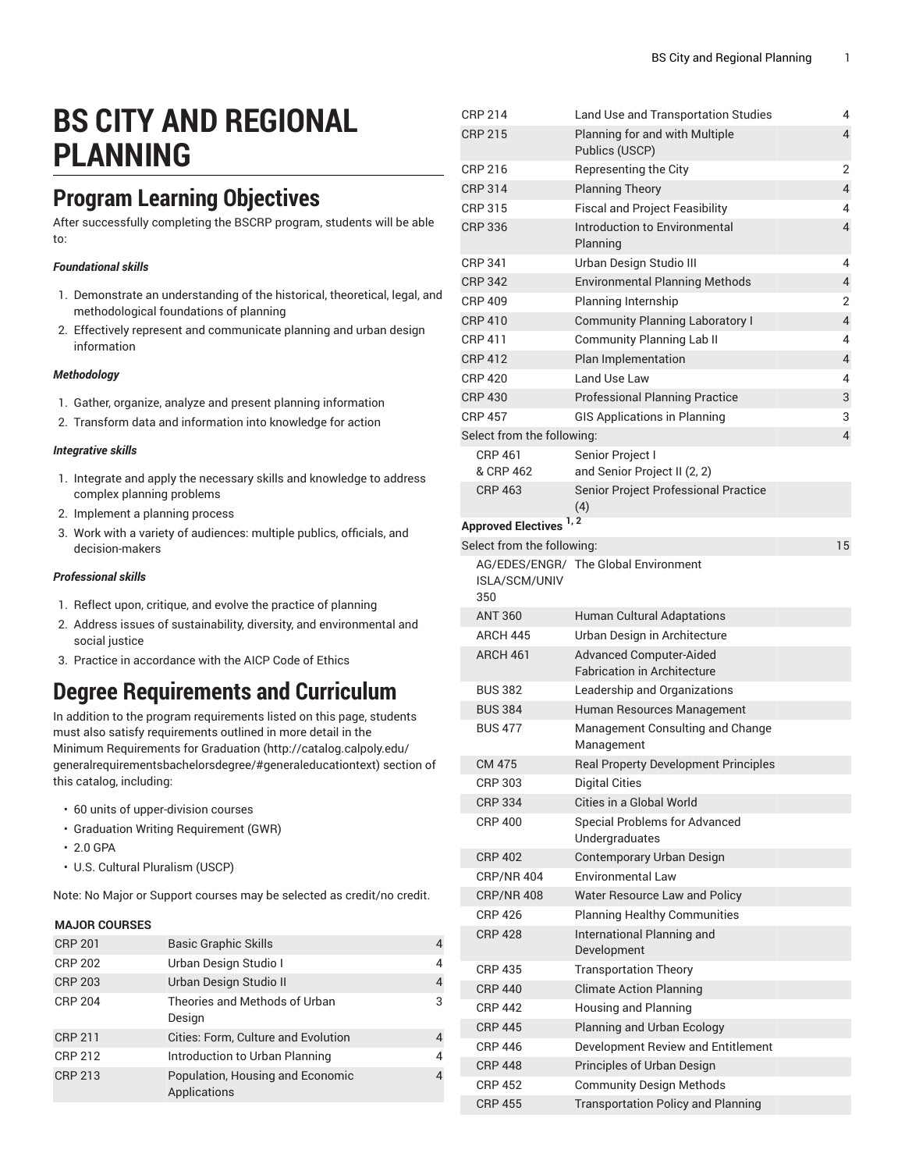# **BS CITY AND REGIONAL PLANNING**

# **Program Learning Objectives**

After successfully completing the BSCRP program, students will be able to:

#### *Foundational skills*

- 1. Demonstrate an understanding of the historical, theoretical, legal, and methodological foundations of planning
- 2. Effectively represent and communicate planning and urban design information

#### *Methodology*

- 1. Gather, organize, analyze and present planning information
- 2. Transform data and information into knowledge for action

#### *Integrative skills*

- 1. Integrate and apply the necessary skills and knowledge to address complex planning problems
- 2. Implement a planning process
- 3. Work with a variety of audiences: multiple publics, officials, and decision-makers

#### *Professional skills*

- 1. Reflect upon, critique, and evolve the practice of planning
- 2. Address issues of sustainability, diversity, and environmental and social justice
- 3. Practice in accordance with the AICP Code of Ethics

### **Degree Requirements and Curriculum**

In addition to the program requirements listed on this page, students must also satisfy requirements outlined in more detail in the Minimum [Requirements](http://catalog.calpoly.edu/generalrequirementsbachelorsdegree/#generaleducationtext) for Graduation ([http://catalog.calpoly.edu/](http://catalog.calpoly.edu/generalrequirementsbachelorsdegree/#generaleducationtext) [generalrequirementsbachelorsdegree/#generaleducationtext\)](http://catalog.calpoly.edu/generalrequirementsbachelorsdegree/#generaleducationtext) section of this catalog, including:

- 60 units of upper-division courses
- Graduation Writing Requirement (GWR)
- 2.0 GPA
- U.S. Cultural Pluralism (USCP)

Note: No Major or Support courses may be selected as credit/no credit.

#### **MAJOR COURSES**

| <b>CRP 201</b> | <b>Basic Graphic Skills</b>                      | 4 |
|----------------|--------------------------------------------------|---|
| <b>CRP 202</b> | Urban Design Studio I                            | 4 |
| <b>CRP 203</b> | Urban Design Studio II                           | 4 |
| <b>CRP 204</b> | Theories and Methods of Urban<br>Design          | 3 |
| <b>CRP 211</b> | Cities: Form, Culture and Evolution              | 4 |
| <b>CRP 212</b> | Introduction to Urban Planning                   | 4 |
| <b>CRP 213</b> | Population, Housing and Economic<br>Applications | 4 |

| <b>CRP 214</b>             | Land Use and Transportation Studies                                  | 4                        |
|----------------------------|----------------------------------------------------------------------|--------------------------|
| <b>CRP 215</b>             | Planning for and with Multiple<br>Publics (USCP)                     | $\overline{\mathbf{4}}$  |
| CRP 216                    | Representing the City                                                | 2                        |
| <b>CRP 314</b>             | <b>Planning Theory</b>                                               | 4                        |
| CRP 315                    | <b>Fiscal and Project Feasibility</b>                                | 4                        |
| <b>CRP 336</b>             | Introduction to Environmental<br>Planning                            | $\overline{\mathcal{L}}$ |
| CRP 341                    | Urban Design Studio III                                              | 4                        |
| <b>CRP 342</b>             | <b>Environmental Planning Methods</b>                                | 4                        |
| <b>CRP 409</b>             | Planning Internship                                                  | 2                        |
| <b>CRP 410</b>             | <b>Community Planning Laboratory I</b>                               | $\overline{4}$           |
| CRP 411                    | Community Planning Lab II                                            | 4                        |
| <b>CRP 412</b>             | Plan Implementation                                                  | $\overline{4}$           |
| <b>CRP 420</b>             | Land Use Law                                                         | 4                        |
| <b>CRP 430</b>             | <b>Professional Planning Practice</b>                                | 3                        |
| <b>CRP 457</b>             | <b>GIS Applications in Planning</b>                                  | 3                        |
| Select from the following: |                                                                      | 4                        |
| <b>CRP 461</b>             | Senior Project I                                                     |                          |
| & CRP 462                  | and Senior Project II (2, 2)                                         |                          |
| <b>CRP 463</b>             | Senior Project Professional Practice<br>(4)                          |                          |
| <b>Approved Electives</b>  | 1, 2                                                                 |                          |
| Select from the following: |                                                                      | 15                       |
| ISLA/SCM/UNIV<br>350       | AG/EDES/ENGR/ The Global Environment                                 |                          |
| <b>ANT 360</b>             | <b>Human Cultural Adaptations</b>                                    |                          |
| <b>ARCH 445</b>            | Urban Design in Architecture                                         |                          |
| ARCH 461                   | <b>Advanced Computer-Aided</b><br><b>Fabrication in Architecture</b> |                          |
| <b>BUS 382</b>             | Leadership and Organizations                                         |                          |
| <b>BUS 384</b>             | Human Resources Management                                           |                          |
| <b>BUS 477</b>             | Management Consulting and Change<br>Management                       |                          |
| CM 475                     | <b>Real Property Development Principles</b>                          |                          |
| CRP 303                    | <b>Digital Cities</b>                                                |                          |
| <b>CRP 334</b>             | Cities in a Global World                                             |                          |
| <b>CRP 400</b>             | <b>Special Problems for Advanced</b><br>Undergraduates               |                          |
| <b>CRP 402</b>             | Contemporary Urban Design                                            |                          |
| <b>CRP/NR 404</b>          | <b>Environmental Law</b>                                             |                          |
| <b>CRP/NR 408</b>          | Water Resource Law and Policy                                        |                          |
| <b>CRP 426</b>             | <b>Planning Healthy Communities</b>                                  |                          |
| <b>CRP 428</b>             | International Planning and<br>Development                            |                          |
| <b>CRP 435</b>             | <b>Transportation Theory</b>                                         |                          |
| <b>CRP 440</b>             | <b>Climate Action Planning</b>                                       |                          |
| <b>CRP 442</b>             | Housing and Planning                                                 |                          |
| <b>CRP 445</b>             | Planning and Urban Ecology                                           |                          |
| <b>CRP 446</b>             | Development Review and Entitlement                                   |                          |
| <b>CRP 448</b>             | Principles of Urban Design                                           |                          |
| <b>CRP 452</b>             | <b>Community Design Methods</b>                                      |                          |
| <b>CRP 455</b>             | <b>Transportation Policy and Planning</b>                            |                          |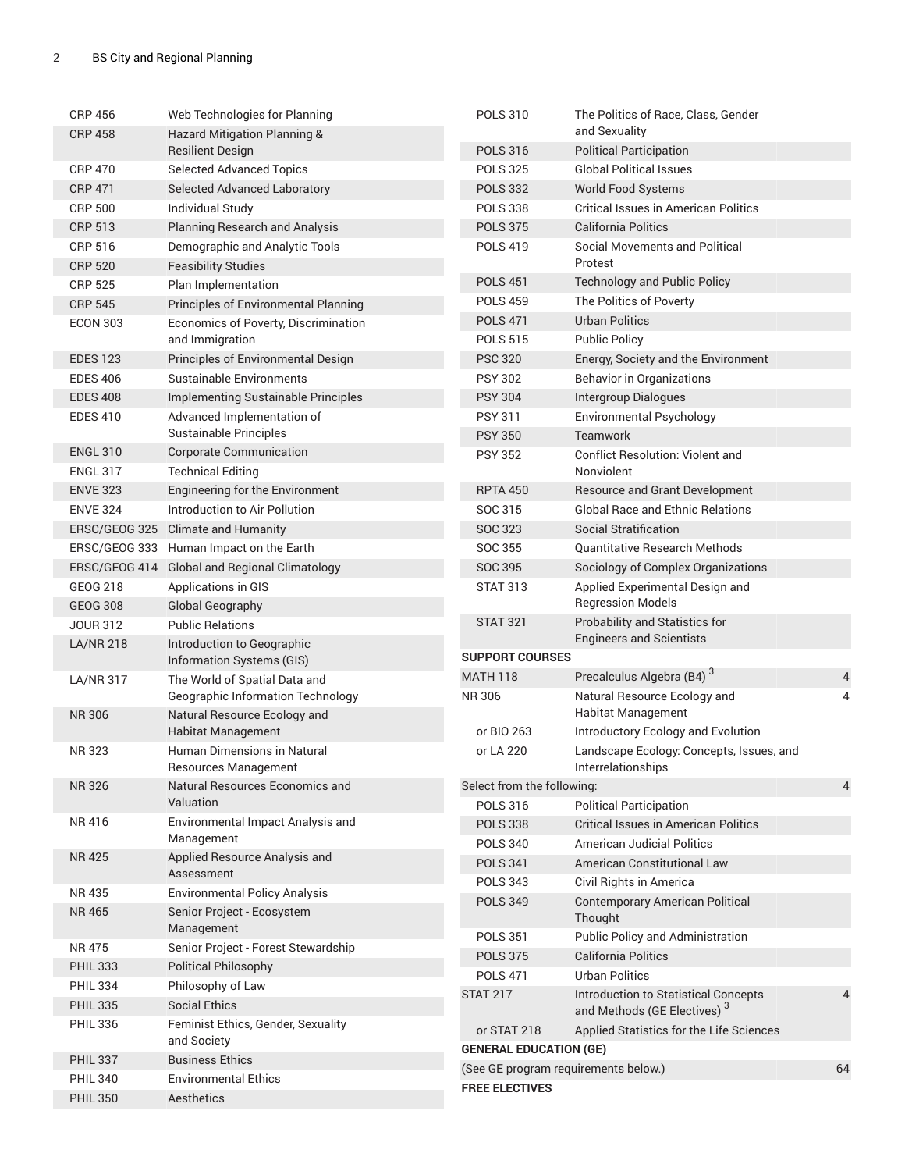| <b>CRP 456</b>   | Web Technologies for Planning                              | <b>POLS 310</b>                      | The Politics of Race, Class, Gender                            |                |
|------------------|------------------------------------------------------------|--------------------------------------|----------------------------------------------------------------|----------------|
| <b>CRP 458</b>   | Hazard Mitigation Planning &                               |                                      | and Sexuality                                                  |                |
|                  | <b>Resilient Design</b>                                    | <b>POLS 316</b>                      | <b>Political Participation</b>                                 |                |
| <b>CRP 470</b>   | <b>Selected Advanced Topics</b>                            | <b>POLS 325</b>                      | <b>Global Political Issues</b>                                 |                |
| <b>CRP 471</b>   | <b>Selected Advanced Laboratory</b>                        | <b>POLS 332</b>                      | <b>World Food Systems</b>                                      |                |
| <b>CRP 500</b>   | <b>Individual Study</b>                                    | <b>POLS 338</b>                      | <b>Critical Issues in American Politics</b>                    |                |
| <b>CRP 513</b>   | <b>Planning Research and Analysis</b>                      | <b>POLS 375</b>                      | <b>California Politics</b>                                     |                |
| <b>CRP 516</b>   | Demographic and Analytic Tools                             | <b>POLS 419</b>                      | Social Movements and Political                                 |                |
| <b>CRP 520</b>   | <b>Feasibility Studies</b>                                 |                                      | Protest                                                        |                |
| <b>CRP 525</b>   | Plan Implementation                                        | <b>POLS 451</b>                      | <b>Technology and Public Policy</b>                            |                |
| <b>CRP 545</b>   | Principles of Environmental Planning                       | <b>POLS 459</b>                      | The Politics of Poverty                                        |                |
| <b>ECON 303</b>  | Economics of Poverty, Discrimination                       | <b>POLS 471</b>                      | <b>Urban Politics</b>                                          |                |
|                  | and Immigration                                            | <b>POLS 515</b>                      | <b>Public Policy</b>                                           |                |
| <b>EDES 123</b>  | Principles of Environmental Design                         | <b>PSC 320</b>                       | Energy, Society and the Environment                            |                |
| <b>EDES 406</b>  | Sustainable Environments                                   | <b>PSY 302</b>                       | <b>Behavior in Organizations</b>                               |                |
| <b>EDES 408</b>  | Implementing Sustainable Principles                        | <b>PSY 304</b>                       | Intergroup Dialogues                                           |                |
| <b>EDES 410</b>  | Advanced Implementation of                                 | <b>PSY 311</b>                       | Environmental Psychology                                       |                |
|                  | Sustainable Principles                                     | <b>PSY 350</b>                       | <b>Teamwork</b>                                                |                |
| <b>ENGL 310</b>  | <b>Corporate Communication</b>                             | <b>PSY 352</b>                       | <b>Conflict Resolution: Violent and</b>                        |                |
| <b>ENGL 317</b>  | <b>Technical Editing</b>                                   |                                      | Nonviolent                                                     |                |
| <b>ENVE 323</b>  | Engineering for the Environment                            | <b>RPTA 450</b>                      | <b>Resource and Grant Development</b>                          |                |
| <b>ENVE 324</b>  | Introduction to Air Pollution                              | SOC 315                              | <b>Global Race and Ethnic Relations</b>                        |                |
| ERSC/GEOG 325    | <b>Climate and Humanity</b>                                | SOC 323                              | <b>Social Stratification</b>                                   |                |
| ERSC/GEOG 333    | Human Impact on the Earth                                  | <b>SOC 355</b>                       | <b>Quantitative Research Methods</b>                           |                |
| ERSC/GEOG 414    | <b>Global and Regional Climatology</b>                     | SOC 395                              | Sociology of Complex Organizations                             |                |
| GEOG 218         | Applications in GIS                                        | <b>STAT 313</b>                      | Applied Experimental Design and                                |                |
| <b>GEOG 308</b>  | <b>Global Geography</b>                                    |                                      | <b>Regression Models</b>                                       |                |
| <b>JOUR 312</b>  | <b>Public Relations</b>                                    | <b>STAT 321</b>                      | Probability and Statistics for                                 |                |
| <b>LA/NR 218</b> | Introduction to Geographic                                 |                                      | <b>Engineers and Scientists</b>                                |                |
|                  | Information Systems (GIS)                                  | <b>SUPPORT COURSES</b>               |                                                                |                |
| <b>LA/NR 317</b> | The World of Spatial Data and                              | <b>MATH 118</b>                      | Precalculus Algebra (B4) <sup>3</sup>                          | 4              |
|                  | Geographic Information Technology                          | NR 306                               | Natural Resource Ecology and                                   | 4              |
| <b>NR306</b>     | Natural Resource Ecology and                               |                                      | <b>Habitat Management</b>                                      |                |
|                  | <b>Habitat Management</b>                                  | or BIO 263                           | Introductory Ecology and Evolution                             |                |
| <b>NR323</b>     | Human Dimensions in Natural<br><b>Resources Management</b> | or LA 220                            | Landscape Ecology: Concepts, Issues, and<br>Interrelationships |                |
| <b>NR326</b>     | Natural Resources Economics and                            | Select from the following:           |                                                                | $\overline{4}$ |
|                  | Valuation                                                  | <b>POLS 316</b>                      | <b>Political Participation</b>                                 |                |
| NR 416           | Environmental Impact Analysis and                          | <b>POLS 338</b>                      | <b>Critical Issues in American Politics</b>                    |                |
|                  | Management                                                 | <b>POLS 340</b>                      | <b>American Judicial Politics</b>                              |                |
| <b>NR425</b>     | Applied Resource Analysis and<br>Assessment                | <b>POLS 341</b>                      | American Constitutional Law                                    |                |
| NR 435           | <b>Environmental Policy Analysis</b>                       | <b>POLS 343</b>                      | Civil Rights in America                                        |                |
| <b>NR465</b>     | Senior Project - Ecosystem                                 | <b>POLS 349</b>                      | <b>Contemporary American Political</b>                         |                |
|                  | Management                                                 |                                      | Thought                                                        |                |
| <b>NR475</b>     | Senior Project - Forest Stewardship                        | <b>POLS 351</b>                      | Public Policy and Administration                               |                |
| <b>PHIL 333</b>  | <b>Political Philosophy</b>                                | <b>POLS 375</b>                      | California Politics                                            |                |
| <b>PHIL 334</b>  | Philosophy of Law                                          | <b>POLS 471</b>                      | <b>Urban Politics</b>                                          |                |
| <b>PHIL 335</b>  | <b>Social Ethics</b>                                       | <b>STAT 217</b>                      | Introduction to Statistical Concepts                           | 4              |
| <b>PHIL 336</b>  | Feminist Ethics, Gender, Sexuality                         |                                      | and Methods (GE Electives) <sup>3</sup>                        |                |
|                  | and Society                                                | or STAT 218                          | Applied Statistics for the Life Sciences                       |                |
| <b>PHIL 337</b>  | <b>Business Ethics</b>                                     | <b>GENERAL EDUCATION (GE)</b>        |                                                                |                |
| <b>PHIL 340</b>  | <b>Environmental Ethics</b>                                | (See GE program requirements below.) |                                                                | 64             |
| <b>PHIL 350</b>  | Aesthetics                                                 | <b>FREE ELECTIVES</b>                |                                                                |                |
|                  |                                                            |                                      |                                                                |                |